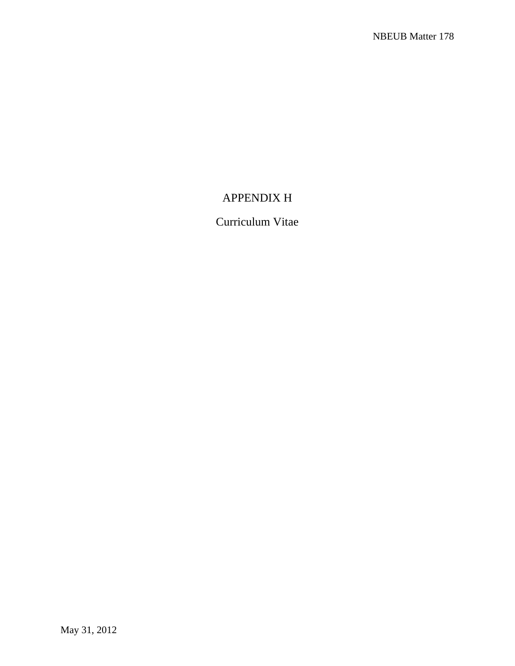# APPENDIX H

# Curriculum Vitae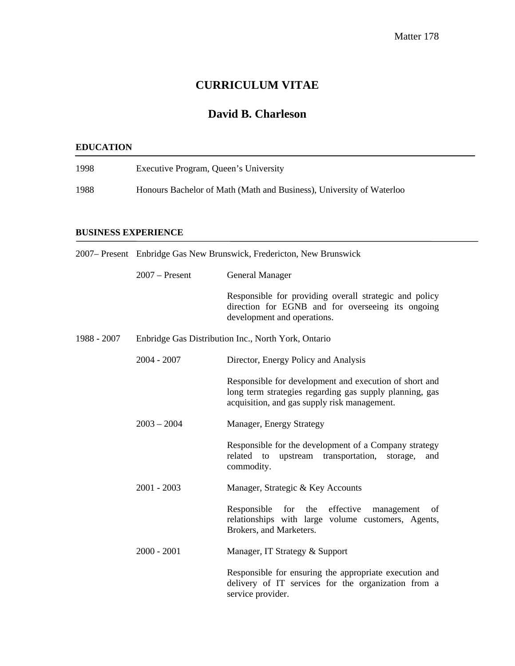# **CURRICULUM VITAE**

# **David B. Charleson**

### **EDUCATION**

| 1998 | Executive Program, Queen's University                                |
|------|----------------------------------------------------------------------|
| 1988 | Honours Bachelor of Math (Math and Business), University of Waterloo |

#### **BUSINESS EXPERIENCE**

| 2007– Present Enbridge Gas New Brunswick, Fredericton, New Brunswick |                  |                                                                                                                                                                   |
|----------------------------------------------------------------------|------------------|-------------------------------------------------------------------------------------------------------------------------------------------------------------------|
|                                                                      | $2007 -$ Present | General Manager                                                                                                                                                   |
|                                                                      |                  | Responsible for providing overall strategic and policy<br>direction for EGNB and for overseeing its ongoing<br>development and operations.                        |
| 1988 - 2007                                                          |                  | Enbridge Gas Distribution Inc., North York, Ontario                                                                                                               |
|                                                                      | $2004 - 2007$    | Director, Energy Policy and Analysis                                                                                                                              |
|                                                                      |                  | Responsible for development and execution of short and<br>long term strategies regarding gas supply planning, gas<br>acquisition, and gas supply risk management. |
|                                                                      | $2003 - 2004$    | Manager, Energy Strategy                                                                                                                                          |
|                                                                      |                  | Responsible for the development of a Company strategy<br>upstream transportation,<br>related to<br>storage,<br>and<br>commodity.                                  |
|                                                                      | $2001 - 2003$    | Manager, Strategic & Key Accounts                                                                                                                                 |
|                                                                      |                  | the effective<br>Responsible<br>for<br>management<br>of<br>relationships with large volume customers, Agents,<br>Brokers, and Marketers.                          |
|                                                                      | $2000 - 2001$    | Manager, IT Strategy & Support                                                                                                                                    |
|                                                                      |                  | Responsible for ensuring the appropriate execution and<br>delivery of IT services for the organization from a<br>service provider.                                |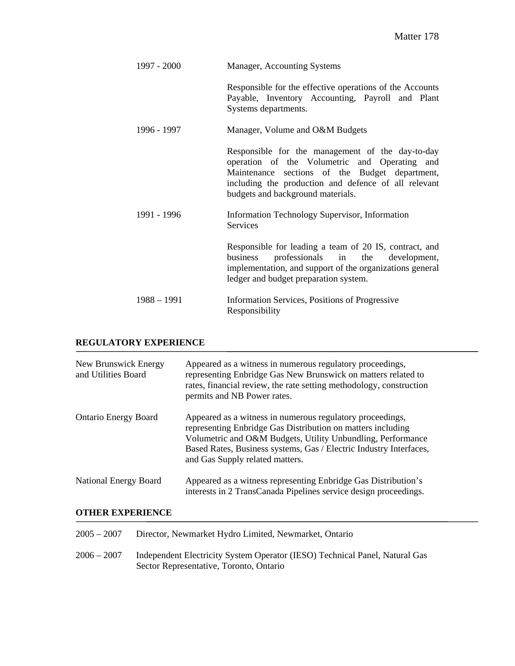| 1997 - 2000   | Manager, Accounting Systems                                                                                                                                                                                                                      |  |
|---------------|--------------------------------------------------------------------------------------------------------------------------------------------------------------------------------------------------------------------------------------------------|--|
|               | Responsible for the effective operations of the Accounts<br>Payable, Inventory Accounting, Payroll and Plant<br>Systems departments.                                                                                                             |  |
| 1996 - 1997   | Manager, Volume and O&M Budgets                                                                                                                                                                                                                  |  |
|               | Responsible for the management of the day-to-day<br>operation of the Volumetric and Operating and<br>Maintenance sections of the Budget department,<br>including the production and defence of all relevant<br>budgets and background materials. |  |
| 1991 - 1996   | Information Technology Supervisor, Information<br><b>Services</b>                                                                                                                                                                                |  |
|               | Responsible for leading a team of 20 IS, contract, and<br>professionals in the development,<br>business<br>implementation, and support of the organizations general<br>ledger and budget preparation system.                                     |  |
| $1988 - 1991$ | Information Services, Positions of Progressive<br>Responsibility                                                                                                                                                                                 |  |

### **REGULATORY EXPERIENCE**

| New Brunswick Energy<br>and Utilities Board | Appeared as a witness in numerous regulatory proceedings,<br>representing Enbridge Gas New Brunswick on matters related to<br>rates, financial review, the rate setting methodology, construction<br>permits and NB Power rates.                                                                 |
|---------------------------------------------|--------------------------------------------------------------------------------------------------------------------------------------------------------------------------------------------------------------------------------------------------------------------------------------------------|
| <b>Ontario Energy Board</b>                 | Appeared as a witness in numerous regulatory proceedings,<br>representing Enbridge Gas Distribution on matters including<br>Volumetric and O&M Budgets, Utility Unbundling, Performance<br>Based Rates, Business systems, Gas / Electric Industry Interfaces,<br>and Gas Supply related matters. |
| National Energy Board                       | Appeared as a witness representing Enbridge Gas Distribution's<br>interests in 2 TransCanada Pipelines service design proceedings.                                                                                                                                                               |

# **OTHER EXPERIENCE**

| $2005 - 2007$ | Director, Newmarket Hydro Limited, Newmarket, Ontario                                                                  |
|---------------|------------------------------------------------------------------------------------------------------------------------|
| $2006 - 2007$ | Independent Electricity System Operator (IESO) Technical Panel, Natural Gas<br>Sector Representative, Toronto, Ontario |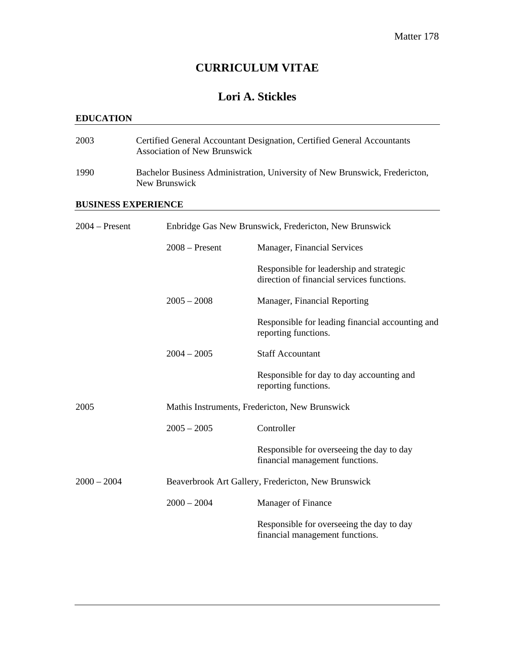# **CURRICULUM VITAE**

# **Lori A. Stickles**

### **EDUCATION**

| 2003             |  | Certified General Accountant Designation, Certified General Accountants<br><b>Association of New Brunswick</b> |                                                                                        |  |
|------------------|--|----------------------------------------------------------------------------------------------------------------|----------------------------------------------------------------------------------------|--|
| 1990             |  | Bachelor Business Administration, University of New Brunswick, Fredericton,<br>New Brunswick                   |                                                                                        |  |
|                  |  | <b>BUSINESS EXPERIENCE</b>                                                                                     |                                                                                        |  |
| $2004 - Present$ |  | Enbridge Gas New Brunswick, Fredericton, New Brunswick                                                         |                                                                                        |  |
|                  |  | $2008 -$ Present                                                                                               | Manager, Financial Services                                                            |  |
|                  |  |                                                                                                                | Responsible for leadership and strategic<br>direction of financial services functions. |  |
|                  |  | $2005 - 2008$                                                                                                  | Manager, Financial Reporting                                                           |  |
|                  |  |                                                                                                                | Responsible for leading financial accounting and<br>reporting functions.               |  |
|                  |  | $2004 - 2005$                                                                                                  | <b>Staff Accountant</b>                                                                |  |
|                  |  |                                                                                                                | Responsible for day to day accounting and<br>reporting functions.                      |  |
| 2005             |  |                                                                                                                | Mathis Instruments, Fredericton, New Brunswick                                         |  |
|                  |  | $2005 - 2005$                                                                                                  | Controller                                                                             |  |
|                  |  |                                                                                                                | Responsible for overseeing the day to day<br>financial management functions.           |  |
| $2000 - 2004$    |  |                                                                                                                | Beaverbrook Art Gallery, Fredericton, New Brunswick                                    |  |
|                  |  | $2000 - 2004$                                                                                                  | Manager of Finance                                                                     |  |
|                  |  |                                                                                                                | Responsible for overseeing the day to day<br>financial management functions.           |  |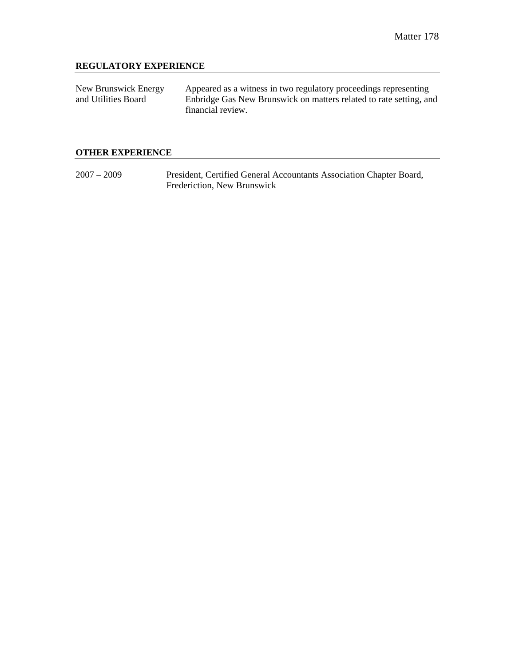### **REGULATORY EXPERIENCE**

| New Brunswick Energy | Appeared as a witness in two regulatory proceedings representing   |
|----------------------|--------------------------------------------------------------------|
| and Utilities Board  | Enbridge Gas New Brunswick on matters related to rate setting, and |
|                      | financial review.                                                  |

### **OTHER EXPERIENCE**

2007 – 2009 President, Certified General Accountants Association Chapter Board, Frederiction, New Brunswick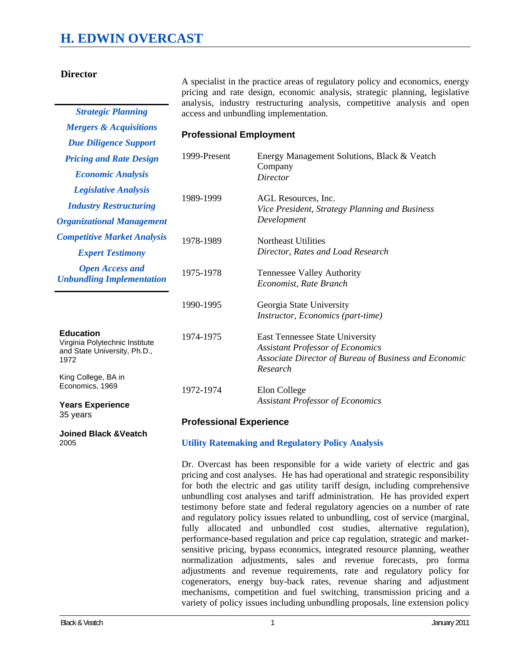# **H. EDWIN OVERCAST**

*Mergers & Acquisitions Due Diligence Support* 

#### **Director**

A specialist in the practice areas of regulatory policy and economics, energy pricing and rate design, economic analysis, strategic planning, legislative analysis, industry restructuring analysis, competitive analysis and open *Strategic Planning* access and unbundling implementation.

#### **Professional Employment**

| <b>Pricing and Rate Design</b>                                                             | 1999-Present | Energy Management Solutions, Black & Veatch                                                                                                            |
|--------------------------------------------------------------------------------------------|--------------|--------------------------------------------------------------------------------------------------------------------------------------------------------|
| <b>Economic Analysis</b>                                                                   |              | Company<br><b>Director</b>                                                                                                                             |
| <b>Legislative Analysis</b>                                                                |              |                                                                                                                                                        |
| <b>Industry Restructuring</b>                                                              | 1989-1999    | AGL Resources, Inc.<br>Vice President, Strategy Planning and Business                                                                                  |
| <b>Organizational Management</b>                                                           |              | Development                                                                                                                                            |
| <b>Competitive Market Analysis</b>                                                         | 1978-1989    | Northeast Utilities                                                                                                                                    |
| <b>Expert Testimony</b>                                                                    |              | Director, Rates and Load Research                                                                                                                      |
| <b>Open Access and</b><br><b>Unbundling Implementation</b>                                 | 1975-1978    | Tennessee Valley Authority<br>Economist, Rate Branch                                                                                                   |
|                                                                                            | 1990-1995    | Georgia State University<br><i>Instructor, Economics (part-time)</i>                                                                                   |
| <b>Education</b><br>Virginia Polytechnic Institute<br>and State University, Ph.D.,<br>1972 | 1974-1975    | <b>East Tennessee State University</b><br><b>Assistant Professor of Economics</b><br>Associate Director of Bureau of Business and Economic<br>Research |
| King College, BA in<br>Economics, 1969                                                     | 1972-1974    | Elon College                                                                                                                                           |
| <b>Years Experience</b>                                                                    |              | <b>Assistant Professor of Economics</b>                                                                                                                |

35 years

**Joined Black &Veatch**  2005

#### **Professional Experience**

#### **Utility Ratemaking and Regulatory Policy Analysis**

Dr. Overcast has been responsible for a wide variety of electric and gas pricing and cost analyses. He has had operational and strategic responsibility for both the electric and gas utility tariff design, including comprehensive unbundling cost analyses and tariff administration. He has provided expert testimony before state and federal regulatory agencies on a number of rate and regulatory policy issues related to unbundling, cost of service (marginal, fully allocated and unbundled cost studies, alternative regulation), performance-based regulation and price cap regulation, strategic and marketsensitive pricing, bypass economics, integrated resource planning, weather normalization adjustments, sales and revenue forecasts, pro forma adjustments and revenue requirements, rate and regulatory policy for cogenerators, energy buy-back rates, revenue sharing and adjustment mechanisms, competition and fuel switching, transmission pricing and a variety of policy issues including unbundling proposals, line extension policy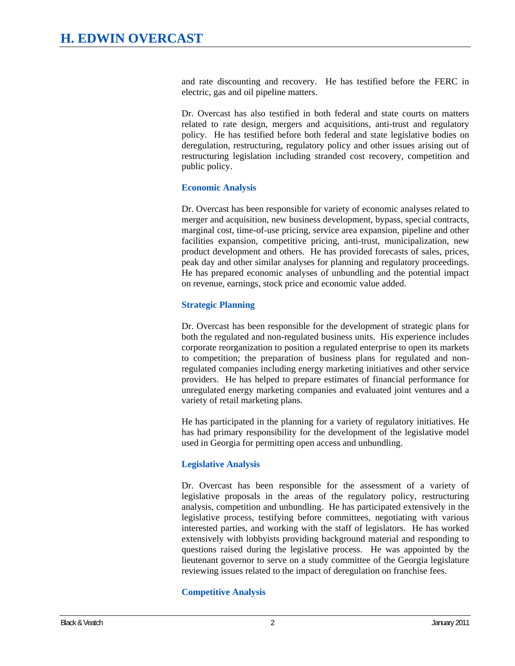and rate discounting and recovery. He has testified before the FERC in electric, gas and oil pipeline matters.

Dr. Overcast has also testified in both federal and state courts on matters related to rate design, mergers and acquisitions, anti-trust and regulatory policy. He has testified before both federal and state legislative bodies on deregulation, restructuring, regulatory policy and other issues arising out of restructuring legislation including stranded cost recovery, competition and public policy.

#### **Economic Analysis**

Dr. Overcast has been responsible for variety of economic analyses related to merger and acquisition, new business development, bypass, special contracts, marginal cost, time-of-use pricing, service area expansion, pipeline and other facilities expansion, competitive pricing, anti-trust, municipalization, new product development and others. He has provided forecasts of sales, prices, peak day and other similar analyses for planning and regulatory proceedings. He has prepared economic analyses of unbundling and the potential impact on revenue, earnings, stock price and economic value added.

### **Strategic Planning**

Dr. Overcast has been responsible for the development of strategic plans for both the regulated and non-regulated business units. His experience includes corporate reorganization to position a regulated enterprise to open its markets to competition; the preparation of business plans for regulated and nonregulated companies including energy marketing initiatives and other service providers. He has helped to prepare estimates of financial performance for unregulated energy marketing companies and evaluated joint ventures and a variety of retail marketing plans.

He has participated in the planning for a variety of regulatory initiatives. He has had primary responsibility for the development of the legislative model used in Georgia for permitting open access and unbundling.

# **Legislative Analysis**

Dr. Overcast has been responsible for the assessment of a variety of legislative proposals in the areas of the regulatory policy, restructuring analysis, competition and unbundling. He has participated extensively in the legislative process, testifying before committees, negotiating with various interested parties, and working with the staff of legislators. He has worked extensively with lobbyists providing background material and responding to questions raised during the legislative process. He was appointed by the lieutenant governor to serve on a study committee of the Georgia legislature reviewing issues related to the impact of deregulation on franchise fees.

# **Competitive Analysis**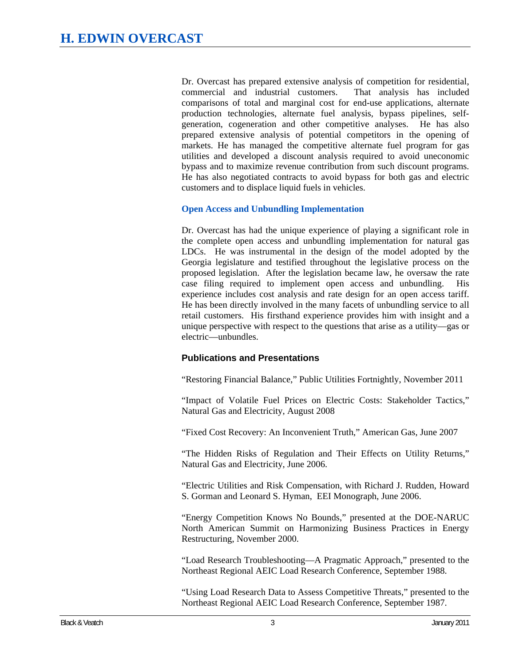Dr. Overcast has prepared extensive analysis of competition for residential, commercial and industrial customers. That analysis has included comparisons of total and marginal cost for end-use applications, alternate production technologies, alternate fuel analysis, bypass pipelines, selfgeneration, cogeneration and other competitive analyses. He has also prepared extensive analysis of potential competitors in the opening of markets. He has managed the competitive alternate fuel program for gas utilities and developed a discount analysis required to avoid uneconomic bypass and to maximize revenue contribution from such discount programs. He has also negotiated contracts to avoid bypass for both gas and electric customers and to displace liquid fuels in vehicles.

#### **Open Access and Unbundling Implementation**

Dr. Overcast has had the unique experience of playing a significant role in the complete open access and unbundling implementation for natural gas LDCs. He was instrumental in the design of the model adopted by the Georgia legislature and testified throughout the legislative process on the proposed legislation. After the legislation became law, he oversaw the rate case filing required to implement open access and unbundling. His experience includes cost analysis and rate design for an open access tariff. He has been directly involved in the many facets of unbundling service to all retail customers. His firsthand experience provides him with insight and a unique perspective with respect to the questions that arise as a utility—gas or electric—unbundles.

# **Publications and Presentations**

"Restoring Financial Balance," Public Utilities Fortnightly, November 2011

"Impact of Volatile Fuel Prices on Electric Costs: Stakeholder Tactics," Natural Gas and Electricity, August 2008

"Fixed Cost Recovery: An Inconvenient Truth," American Gas, June 2007

"The Hidden Risks of Regulation and Their Effects on Utility Returns," Natural Gas and Electricity, June 2006.

"Electric Utilities and Risk Compensation, with Richard J. Rudden, Howard S. Gorman and Leonard S. Hyman, EEI Monograph, June 2006.

"Energy Competition Knows No Bounds," presented at the DOE-NARUC North American Summit on Harmonizing Business Practices in Energy Restructuring, November 2000.

"Load Research Troubleshooting—A Pragmatic Approach," presented to the Northeast Regional AEIC Load Research Conference, September 1988.

"Using Load Research Data to Assess Competitive Threats," presented to the Northeast Regional AEIC Load Research Conference, September 1987.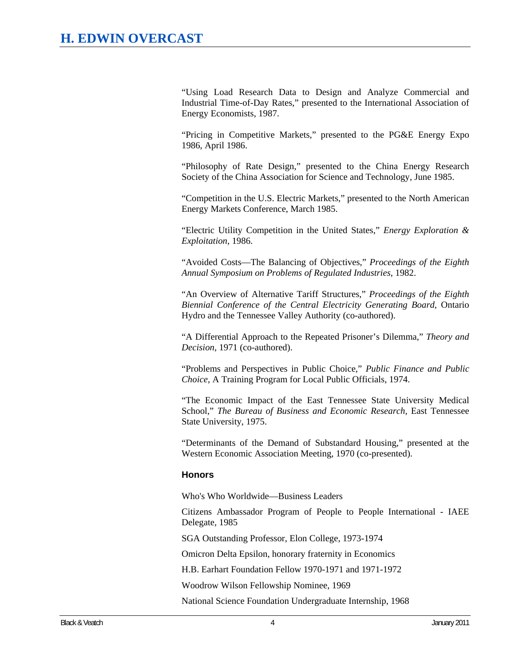"Using Load Research Data to Design and Analyze Commercial and Industrial Time-of-Day Rates," presented to the International Association of Energy Economists, 1987.

"Pricing in Competitive Markets," presented to the PG&E Energy Expo 1986, April 1986.

"Philosophy of Rate Design," presented to the China Energy Research Society of the China Association for Science and Technology, June 1985.

"Competition in the U.S. Electric Markets," presented to the North American Energy Markets Conference, March 1985.

"Electric Utility Competition in the United States," *Energy Exploration & Exploitation*, 1986.

"Avoided Costs—The Balancing of Objectives," *Proceedings of the Eighth Annual Symposium on Problems of Regulated Industries*, 1982.

"An Overview of Alternative Tariff Structures," *Proceedings of the Eighth Biennial Conference of the Central Electricity Generating Board*, Ontario Hydro and the Tennessee Valley Authority (co-authored).

"A Differential Approach to the Repeated Prisoner's Dilemma," *Theory and Decision*, 1971 (co-authored).

"Problems and Perspectives in Public Choice," *Public Finance and Public Choice*, A Training Program for Local Public Officials, 1974.

"The Economic Impact of the East Tennessee State University Medical School," *The Bureau of Business and Economic Research*, East Tennessee State University, 1975.

"Determinants of the Demand of Substandard Housing," presented at the Western Economic Association Meeting, 1970 (co-presented).

#### **Honors**

Who's Who Worldwide—Business Leaders

Citizens Ambassador Program of People to People International - IAEE Delegate, 1985

SGA Outstanding Professor, Elon College, 1973-1974

Omicron Delta Epsilon, honorary fraternity in Economics

H.B. Earhart Foundation Fellow 1970-1971 and 1971-1972

Woodrow Wilson Fellowship Nominee, 1969

National Science Foundation Undergraduate Internship, 1968